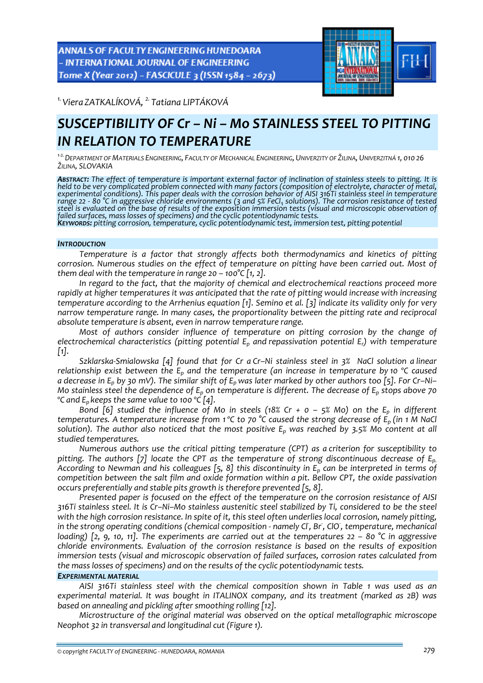ANNALS OF FACULTY ENGINEERING HUNEDOARA - INTERNATIONAL JOURNAL OF ENGINEERING Tome X (Year 2012) - FASCICULE 3 (ISSN 1584 - 2673)



*1.Viera ZATKALÍKOVÁ, 2. Tatiana LIPTÁKOVÁ* 

# *SUSCEPTIBILITY OF Cr – Ni – Mo STAINLESS STEEL TO PITTING IN RELATION TO TEMPERATURE*

<sup>1-2.</sup> DEPARTMENT OF MATERIALS ENGINEERING, FACULTY OF MECHANICAL ENGINEERING, UNIVERZITY OF ŽILINA, UNIVERZITNÁ 1, 010 26 *ŽILINA, SLOVAKIA*

ABSTRACT: The effect of temperature is important external factor of inclination of stainless steels to pitting. It is *held to be very complicated problem connected with many factors (composition of electrolyte, character of metal,* experimental conditions). This paper deals with the corrosion behavior of AISI 316Ti stainless steel in temperature range 22 - 80 °C in aggressive chloride environments (3 and  $5\%$  FeCl<sub>3</sub> solutions). The corrosion resistance of tested steel is evaluated on the base of results of the exposition immersion tests (visual and microscopic observation of<br>failed surfaces, mass losses of specimens) and the cyclic potentiodynamic tests.<br>Keywords: pitting corrosio

## *INTRODUCTION*

*Temperature is a factor that strongly affects both thermodynamics and kinetics of pitting corrosion. Numerous studies on the effect of temperature on pitting have been carried out. Most of them deal* with the *temperature in range*  $20 - 100^{\circ}C$  [1, 2].

*In regard to the fact, that the majority of chemical and electrochemical reactions proceed more rapidly at higher temperatures it was anticipated that the rate of pitting would increase with increasing* temperature according to the Arrhenius equation [1]. Semino et al. [3] indicate its validity only for very *narrow temperature range. In many cases, the proportionality between the pitting rate and reciprocal absolute temperature is absent, even in narrow temperature range.*

*Most of authors consider influence of temperature on pitting corrosion by the change of electrochemical characteristics (pitting potential Ep and repassivation potential Er) with temperature*  $\lceil 1 \rceil$ .

Szklarska-Smialowska [4] found that for Cr a Cr-Ni stainless steel in 3% NaCl solution a linear *relationship exist between the Ep and the temperature (an increase in temperature by 10 ºC caused* a decrease in  $E_p$  by 30 mV). The similar shift of  $E_p$  was later marked by other authors too [5]. For Cr-Ni-Mo stainless steel the dependence of  $E_n$  on temperature is different. The decrease of  $E_n$  stops above 70 *ºC and Ep keeps the same value to 100 ºC [4].*

Bond [6] studied the influence of Mo in steels (18% Cr +  $o$  – 5% Mo) on the E<sub>p</sub> in different temperatures. A temperature increase from 1 °C to 70 °C caused the strong decrease of  $E_p$  (in 1 M NaCl *solution). The author also noticed that the most positive Ep was reached by 3.5% Mo content at all studied temperatures.*

*Numerous authors use the critical pitting temperature (CPT) as a criterion for susceptibility to pitting. The authors [7] locate the CPT as the temperature of strong discontinuous decrease of Ep.* According to Newman and his colleagues [5, 8] this discontinuity in  $E_p$  can be interpreted in terms of *competition between the salt film and oxide formation within a pit. Bellow CPT, the oxide passivation occurs preferentially and stable pits growth is therefore prevented [5, 8].*

*Presented paper is focused on the effect of the temperature on the corrosion resistance of AISI* 316Ti stainless steel. It is Cr-Ni-Mo stainless austenitic steel stabilized by Ti, considered to be the steel with the high corrosion resistance. In spite of it, this steel often underlies local corrosion, namely pitting, in the strong operating conditions (chemical composition - namely Cl, Br, ClO, temperature, mechanical loading) [2, 9, 10, 11]. The experiments are carried out at the temperatures  $22 - 80$  °C in aggressive *chloride environments. Evaluation of the corrosion resistance is based on the results of exposition immersion tests (visual and microscopic observation of failed surfaces, corrosion rates calculated from the mass losses of specimens) and on the results of the cyclic potentiodynamic tests.*

#### *EXPERIMENTAL MATERIAL*

*AISI 316Ti stainless steel with the chemical composition shown in Table 1 was used as an experimental material. It was bought in ITALINOX company, and its treatment (marked as 2B) was based on annealing and pickling after smoothing rolling [12].* 

*Microstructure of the original material was observed on the optical metallographic microscope Neophot 32 in transversal and longitudinal cut (Figure 1).*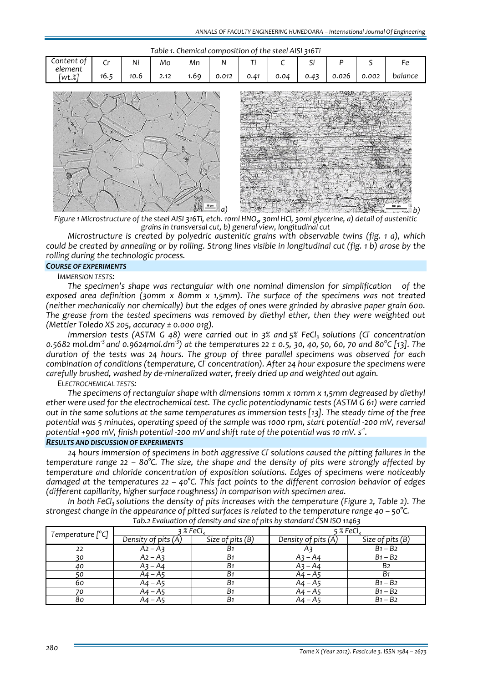| Table 1. Chemical composition of the steel AISI 316Ti |      |      |      |     |       |      |      |                               |       |       |         |
|-------------------------------------------------------|------|------|------|-----|-------|------|------|-------------------------------|-------|-------|---------|
| Content of                                            |      | Ni   | Mo   | Mn  |       | $-$  |      | $\overline{\phantom{a}}$<br>- |       |       |         |
| element<br>[wt.%]                                     | 16.5 | 10.6 | 2.12 | .69 | 0.012 | 0.41 | 0.04 | 0.43                          | 0.026 | 0.002 | balance |



Figure 1 Microstructure of the steel AISI 316Ti, etch. 10ml HNO<sub>3</sub>, 30ml HCl, 30ml glycerine, a) detail of austenitic *grains in transversal cut, b) general view, longitudinal cut* 

*Microstructure is created by polyedric austenitic grains with observable twins (fig. 1 a), which* could be created by annealing or by rolling. Strong lines visible in longitudinal cut (fig. 1 b) arose by the *rolling during the technologic process.*

#### *COURSE OF EXPERIMENTS*

*IMMERSION TESTS:*

*The specimen's shape was rectangular with one nominal dimension for simplification of the exposed area definition (30mm x 80mm x 1,5mm). The surface of the specimens was not treated (neither mechanically nor chemically) but the edges of ones were grinded by abrasive paper grain 600. The grease from the tested specimens was removed by diethyl ether, then they were weighted out (Mettler Toledo XS 205, accuracy ± 0.000 01g).*

*Immersion tests (ASTM G 48) were carried out in 3% and 5% FeCl3 solutions (Cl‐ concentration* 0.5682 mol.dm<sup>-3</sup> and 0.9624mol.dm<sup>-3</sup>) at the temperatures 22 ± 0.5, 30, 40, 50, 60, 70 and 80°C [13]. The *duration of the tests was 24 hours. The group of three parallel specimens was observed for each combination of conditions (temperature, Cl‐ concentration). After 24 hour exposure the specimens were carefully brushed, washed by de‐mineralized water, freely dried up and weighted out again.*

*ELECTROCHEMICAL TESTS:*

*The specimens of rectangular shape with dimensions 10mm x 10mm x 1,5mm degreased by diethyl ether were used for the electrochemical test. The cyclic potentiodynamic tests (ASTM G 61) were carried* out in the same solutions at the same temperatures as immersion tests [13]. The steady time of the free potential was 5 minutes, operating speed of the sample was 1000 rpm, start potential -200 mV, reversal potential +900 mV, finish potential -200 mV and shift rate of the potential was 10 mV. s $^{\text{\tiny 1}}$ .

### *RESULTS AND DISCUSSION OF EXPERIMENTS*

*24 hours immersion of specimens in both aggressive Cl‐ solutions caused the pitting failures in the temperature range 22 – 80°C. The size, the shape and the density of pits were strongly affected by temperature and chloride concentration of exposition solutions. Edges of specimens were noticeably damaged at the temperatures 22 – 40°C. This fact points to the different corrosion behavior of edges (different capillarity, higher surface roughness) in comparison with specimen area.*

*In* both FeCl<sub>3</sub> solutions the density of pits increases with the temperature (Figure 2, Table 2). The *strongest change in the appearance of pitted surfaces is related to the temperature range 40 – 50°C. Tab.2 Evaluation of density and size of pits by standard ČSN ISO 11463*

| Temperature [°C] | 3%Fe <sub>3</sub>   |                  | 5 % FeCl:           |                  |  |
|------------------|---------------------|------------------|---------------------|------------------|--|
|                  | Density of pits (A) | Size of pits (B) | Density of pits (A) | Size of pits (B) |  |
| 22               | $A2 - A3$           | B <sub>1</sub>   |                     | $B1 - B2$        |  |
| 30               | $A2 - A3$           | B <sub>1</sub>   | $A_3 - A_4$         | $B1 - B2$        |  |
| 40               | $A_3 - A_4$         | B <sub>1</sub>   | $A_3 - A_4$         | B <sub>2</sub>   |  |
| 50               | A4 – A5             | B <sub>1</sub>   | $A4 - A5$           | <b>B</b> 1       |  |
| 60               | A4 – A5             | B <sub>1</sub>   | A4 – A5             | $B1 - B2$        |  |
| 70               | A4 – A5             | B <sub>1</sub>   | A4 – A5             | $B1 - B2$        |  |
| 80               | A4 – A5             | B <sub>1</sub>   | A4 – A5             | $B1 - B2$        |  |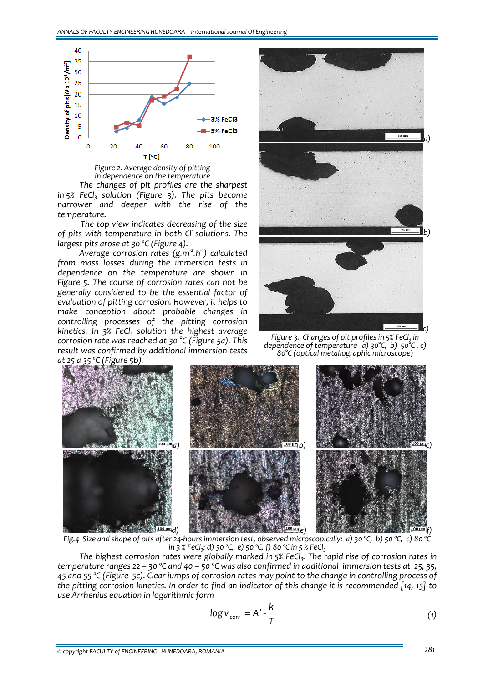

*Figure 2. Average density of pitting in dependence on the temperature*

*The changes of pit profiles are the sharpest in*  $5%$  *FeCl<sub>3</sub>**solution* (Figure 3). The pits become *narrower and deeper with the rise of the temperature.* 

*The top view indicates decreasing of the size of pits with temperature in both Cl‐ solutions. The largest pits arose at 30 ºC (Figure 4).*

*Average corrosion rates (g.m‐<sup>2</sup> .h‐1 ) calculated from mass losses during the immersion tests in dependence on the temperature are shown in Figure 5. The course of corrosion rates can not be generally considered to be the essential factor of evaluation of pitting corrosion. However, it helps to make conception about probable changes in controlling processes of the pitting corrosion kinetics.* In  $3\%$  FeCl<sub>3</sub> solution the highest average *corrosion rate was reached at 30 °C (Figure 5a). This result was confirmed by additional immersion tests*



*Figure* 3. Changes of pit profiles in 5% FeCl<sub>3</sub> in *dependence of temperature a) 30°C, b) 50°C , c) 80°C (optical metallographic microscope)*



Fig.4 Size and shape of pits after 24-hours immersion test, observed microscopically: a) 30 °C, b) 50 °C, c) 80 °C *in*  $3$  % *FeCl<sub>3</sub>*; *d*)  $30$  °C, *e*)  $50$  °C, *f*)  $80$  °C *in*  $5$  % *FeCl*<sub>3</sub>

*The highest corrosion rates were globally marked in 5% FeCl3. The rapid rise of corrosion rates in* temperature ranges 22 – 30 °C and 40 – 50 °C was also confirmed in additional immersion tests at 25, 35, 45 and 55 °C (Figure, 5c). Clear jumps of corrosion rates may point to the change in controlling process of the pitting corrosion kinetics. In order to find an indicator of this change it is recommended [14, 15] to *use Arrhenius equation in logarithmic form*

$$
\log v_{corr} = A' - \frac{k}{T} \tag{1}
$$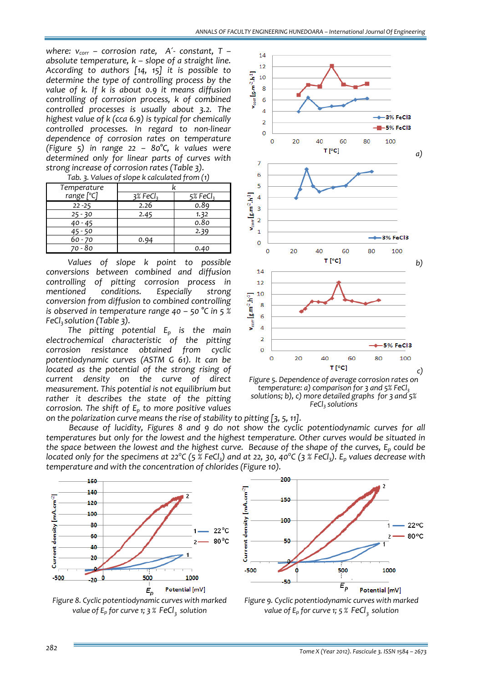*where:*  $v_{corr}$  – *corrosion rate,*  $A^2$ *<sup>-</sup> <i>constant*,  $T$  – *absolute temperature, k – slope of a straight line. According to authors [14, 15] it is possible to determine the type of controlling process by the value of k. If k is about 0.9 it means diffusion controlling of corrosion process, k of combined controlled processes is usually about 3.2. The highest value of k (cca 6.9) is typical for chemically controlled processes. In regard to non‐linear dependence of corrosion rates on temperature (Figure 5) in range 22 – 80°C, k values were determined only for linear parts of curves with strong increase of corrosion rates (Table 3).*

| Temperature |                      |                        |  |  |
|-------------|----------------------|------------------------|--|--|
| range [°C]  | 3% FeCl <sub>3</sub> | $5%$ FeCl <sub>3</sub> |  |  |
| $22 - 25$   | 2.26                 | 0.89                   |  |  |
| $25 - 30$   | 2.45                 | 1.32                   |  |  |
| $40 - 45$   |                      | 0.80                   |  |  |
| $45 - 50$   |                      | 2.39                   |  |  |
| $60 - 70$   | 0.94                 |                        |  |  |
| 70 - 80     |                      | 0.40                   |  |  |

*Tab. 3. Values of slope k calculated from (1)*

*Values of slope k point to possible conversions between combined and diffusion controlling of pitting corrosion process in mentioned conditions. conversion from diffusion to combined controlling is observed in temperature range 40 – 50 °C in 5 % FeCl3 solution (Table 3).* 

*The pitting potential Ep is the main electrochemical characteristic of the pitting corrosion resistance obtained from cyclic potentiodynamic curves (ASTM G 61). It can be located as the potential of the strong rising of current density on the curve of direct measurement. This potential is not equilibrium but rather it describes the state of the pitting corrosion. The shift of Ep to more positive values on the polarization curve means the rise of stability to pitting [3, 5, 11].* 





*Because of lucidity, Figures 8 and 9 do not show the cyclic potentiodynamic curves for all temperatures but only for the lowest and the highest temperature. Other curves would be situated in* the space between the lowest and the highest curve. Because of the shape of the curves,  $E_p$  could be located only for the specimens at 22°C (5  $\tilde{z}$  FeCl<sub>3</sub>) and at 22, 30, 40°C (3 % FeCl<sub>3</sub>). E<sub>p</sub> values decrease with *temperature and with the concentration of chlorides (Figure 10).*







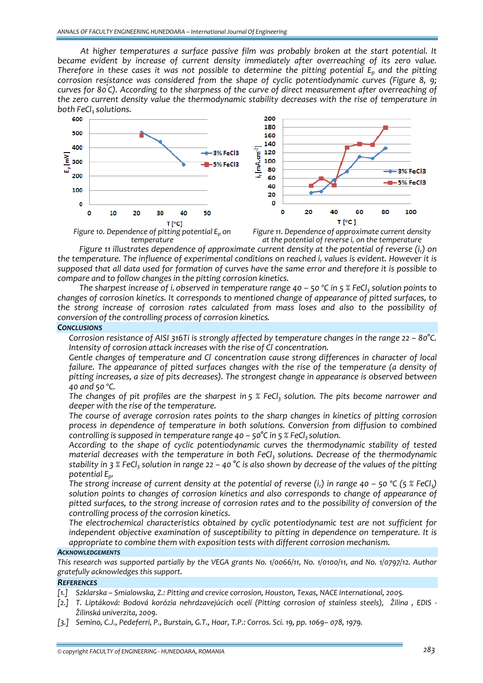*At higher temperatures a surface passive film was probably broken at the start potential. It became evident by increase of current density immediately after overreaching of its zero value. Therefore in these cases it was not possible to determine the pitting potential Ep and the pitting corrosion resistance was considered from the shape of cyclic potentiodynamic curves (Figure 8, 9; curves for 80° C). According to the sharpness of the curve of direct measurement after overreaching of the zero current density value the thermodynamic stability decreases with the rise of temperature in*





*Figure 10.* Dependence of pitting potential  $E_p$  on *temperature*

*Figure 11. Dependence of approximate current density at the potential of reverse ir on the temperature*

*Figure 11 illustrates dependence of approximate current density at the potential of reverse (ir) on the temperature. The influence of experimental conditions on reached ir values is evident. However it is* supposed that all data used for formation of curves have the same error and therefore it is possible to *compare and to follow changes in the pitting corrosion kinetics.*

The sharpest increase of i<sub>r</sub> observed in temperature range 40 – 50 °C in 5 % FeCl<sub>3</sub> solution points to *changes of corrosion kinetics. It corresponds to mentioned change of appearance of pitted surfaces, to the strong increase of corrosion rates calculated from mass loses and also to the possibility of conversion of the controlling process of corrosion kinetics.*

## *CONCLUSIONS*

 *Corrosion resistance of AISI 316Ti is strongly affected by temperature changes in the range 22 – 80°C. Intensity of corrosion attack increases with the rise of Cl‐ concentration.* 

 *Gentle changes of temperature and Cl‐ concentration cause strong differences in character of local failure. The appearance of pitted surfaces changes with the rise of the temperature (a density of pitting increases, a size of pits decreases). The strongest change in appearance is observed between 40 and 50 ºC.* 

 *The changes of pit profiles are the sharpest in 5 % FeCl3 solution. The pits become narrower and deeper with the rise of the temperature.*

 *The course of average corrosion rates points to the sharp changes in kinetics of pitting corrosion process in dependence of temperature in both solutions. Conversion from diffusion to combined controlling is supposed in temperature range*  $40 - 50^{\circ}$ C *in*  $5$  *% FeCl<sub>3</sub> solution.* 

 *According to the shape of cyclic potentiodynamic curves the thermodynamic stability of tested material decreases with the temperature in both FeCl3 solutions. Decrease of the thermodynamic* stability in 3 % FeCl<sub>3</sub> solution in range 22 – 40 °C is also shown by decrease of the values of the pitting *potential Ep.*

The strong increase of current density at the potential of reverse (i<sub>r</sub>) in range 40 - 50 °C (5 % FeCl<sub>3</sub>) *solution points to changes of corrosion kinetics and also corresponds to change of appearance of pitted surfaces, to the strong increase of corrosion rates and to the possibility of conversion of the controlling process of the corrosion kinetics.*

 *The electrochemical characteristics obtained by cyclic potentiodynamic test are not sufficient for independent objective examination of susceptibility to pitting in dependence on temperature. It is appropriate to combine them with exposition tests with different corrosion mechanism.*

#### *ACKNOWLEDGEMENTS*

This research was supported partially by the VEGA grants No. 1/0066/11, No. 1/0100/11, and No. 1/0797/12. Author *gratefully acknowledges this support.*

# *REFERENCES*

- *[1.] Szklarska – Smialowska, Z.: Pitting and crevice corrosion, Houston, Texas, NACE International, 2005.*
- [2.] T. Liptáková: Bodová korózia nehrdzavejúcich ocelí (Pitting corrosion of stainless steels), Žilina, EDIS -*Žilinská univerzita, 2009.*
- *[3.] Semino, C.J., Pedeferri, P., Burstain, G.T., Hoar, T.P.: Corros. Sci. 19, pp. 1069– 078, 1979.*